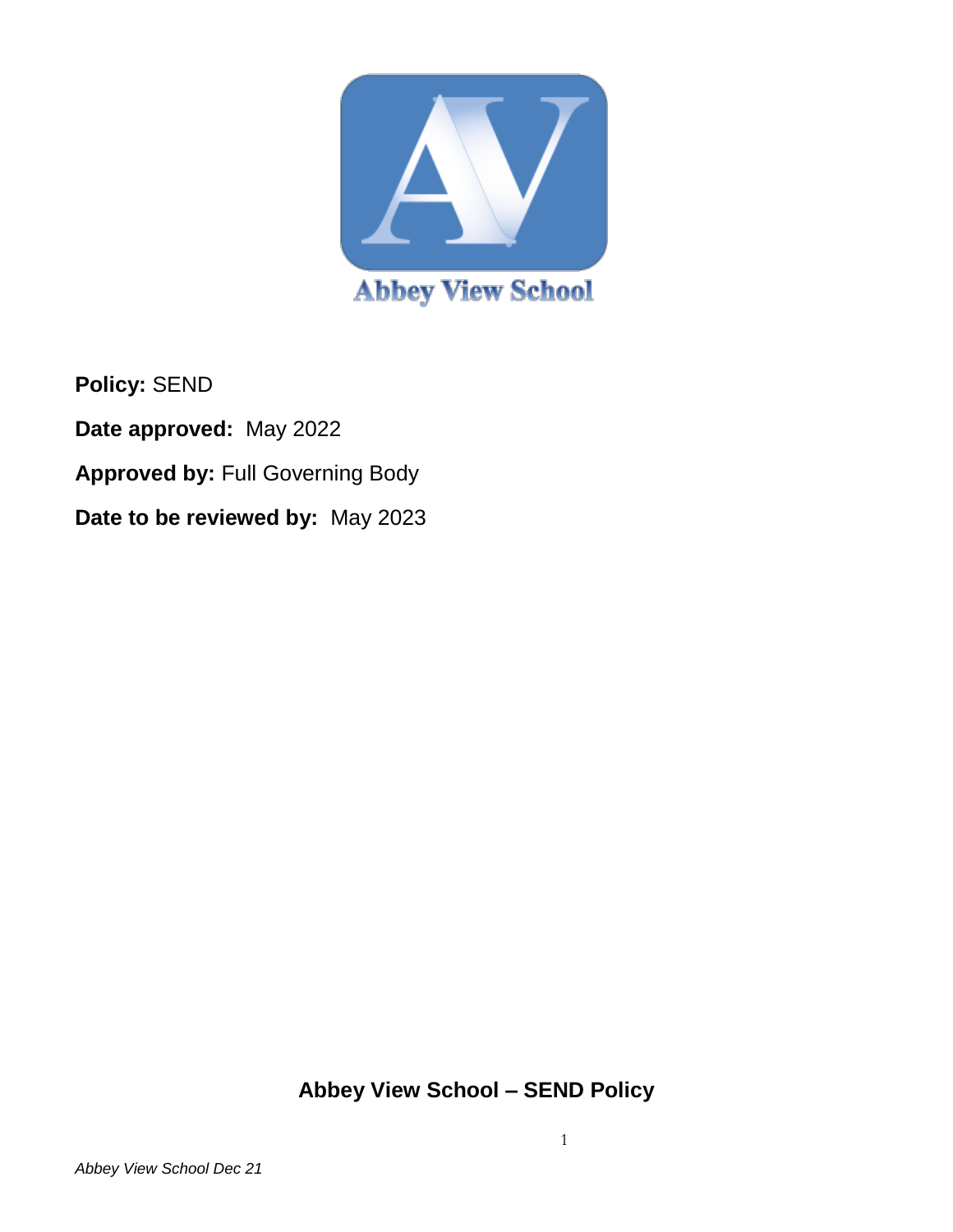

**Policy:** SEND **Date approved:** May 2022 **Approved by:** Full Governing Body **Date to be reviewed by:** May 2023

**Abbey View School – SEND Policy**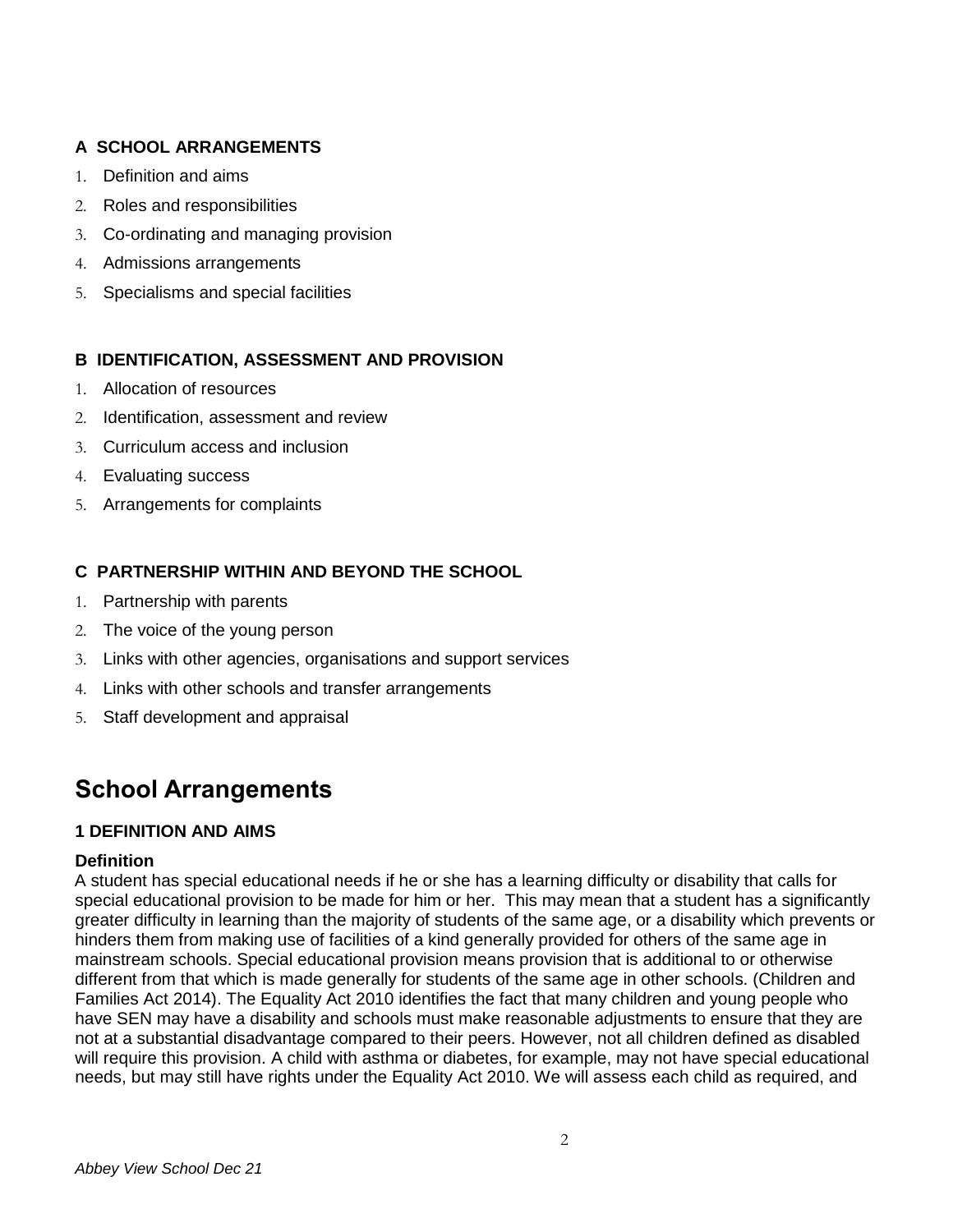# **A SCHOOL ARRANGEMENTS**

- 1. Definition and aims
- 2. Roles and responsibilities
- 3. Co-ordinating and managing provision
- 4. Admissions arrangements
- 5. Specialisms and special facilities

# **B IDENTIFICATION, ASSESSMENT AND PROVISION**

- 1. Allocation of resources
- 2. Identification, assessment and review
- 3. Curriculum access and inclusion
- 4. Evaluating success
- 5. Arrangements for complaints

# **C PARTNERSHIP WITHIN AND BEYOND THE SCHOOL**

- 1. Partnership with parents
- 2. The voice of the young person
- 3. Links with other agencies, organisations and support services
- 4. Links with other schools and transfer arrangements
- 5. Staff development and appraisal

# **School Arrangements**

# **1 DEFINITION AND AIMS**

## **Definition**

 A student has special educational needs if he or she has a learning difficulty or disability that calls for special educational provision to be made for him or her. This may mean that a student has a significantly greater difficulty in learning than the majority of students of the same age, or a disability which prevents or hinders them from making use of facilities of a kind generally provided for others of the same age in mainstream schools. Special educational provision means provision that is additional to or otherwise different from that which is made generally for students of the same age in other schools. (Children and Families Act 2014). The Equality Act 2010 identifies the fact that many children and young people who have SEN may have a disability and schools must make reasonable adjustments to ensure that they are not at a substantial disadvantage compared to their peers. However, not all children defined as disabled will require this provision. A child with asthma or diabetes, for example, may not have special educational needs, but may still have rights under the Equality Act 2010. We will assess each child as required, and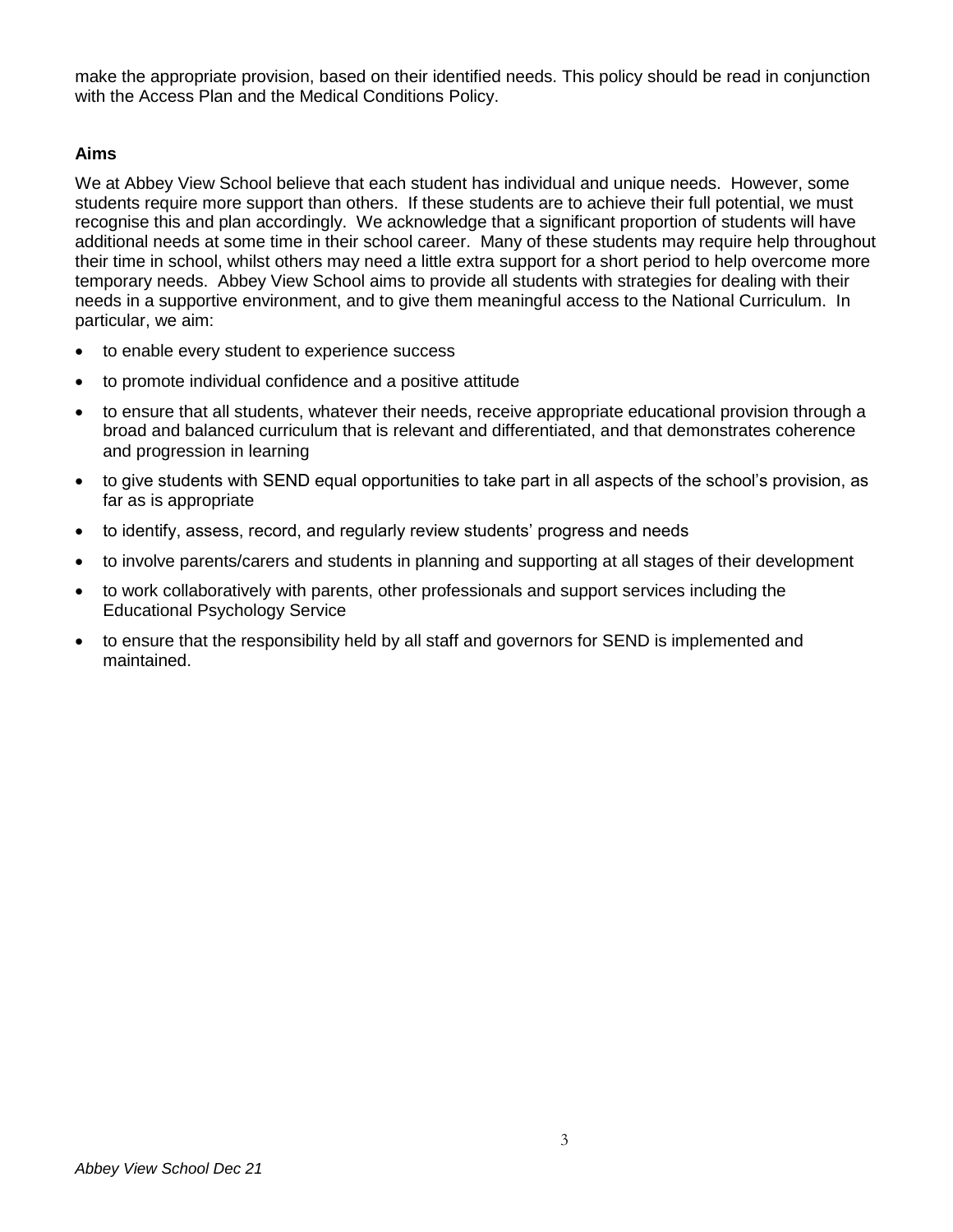make the appropriate provision, based on their identified needs. This policy should be read in conjunction with the Access Plan and the Medical Conditions Policy.

#### **Aims**

We at Abbey View School believe that each student has individual and unique needs. However, some students require more support than others. If these students are to achieve their full potential, we must recognise this and plan accordingly. We acknowledge that a significant proportion of students will have additional needs at some time in their school career. Many of these students may require help throughout their time in school, whilst others may need a little extra support for a short period to help overcome more temporary needs. Abbey View School aims to provide all students with strategies for dealing with their needs in a supportive environment, and to give them meaningful access to the National Curriculum. In particular, we aim:

- to enable every student to experience success
- to promote individual confidence and a positive attitude
- to ensure that all students, whatever their needs, receive appropriate educational provision through a broad and balanced curriculum that is relevant and differentiated, and that demonstrates coherence and progression in learning
- to give students with SEND equal opportunities to take part in all aspects of the school's provision, as far as is appropriate
- to identify, assess, record, and regularly review students' progress and needs
- to involve parents/carers and students in planning and supporting at all stages of their development
- to work collaboratively with parents, other professionals and support services including the Educational Psychology Service
- to ensure that the responsibility held by all staff and governors for SEND is implemented and maintained.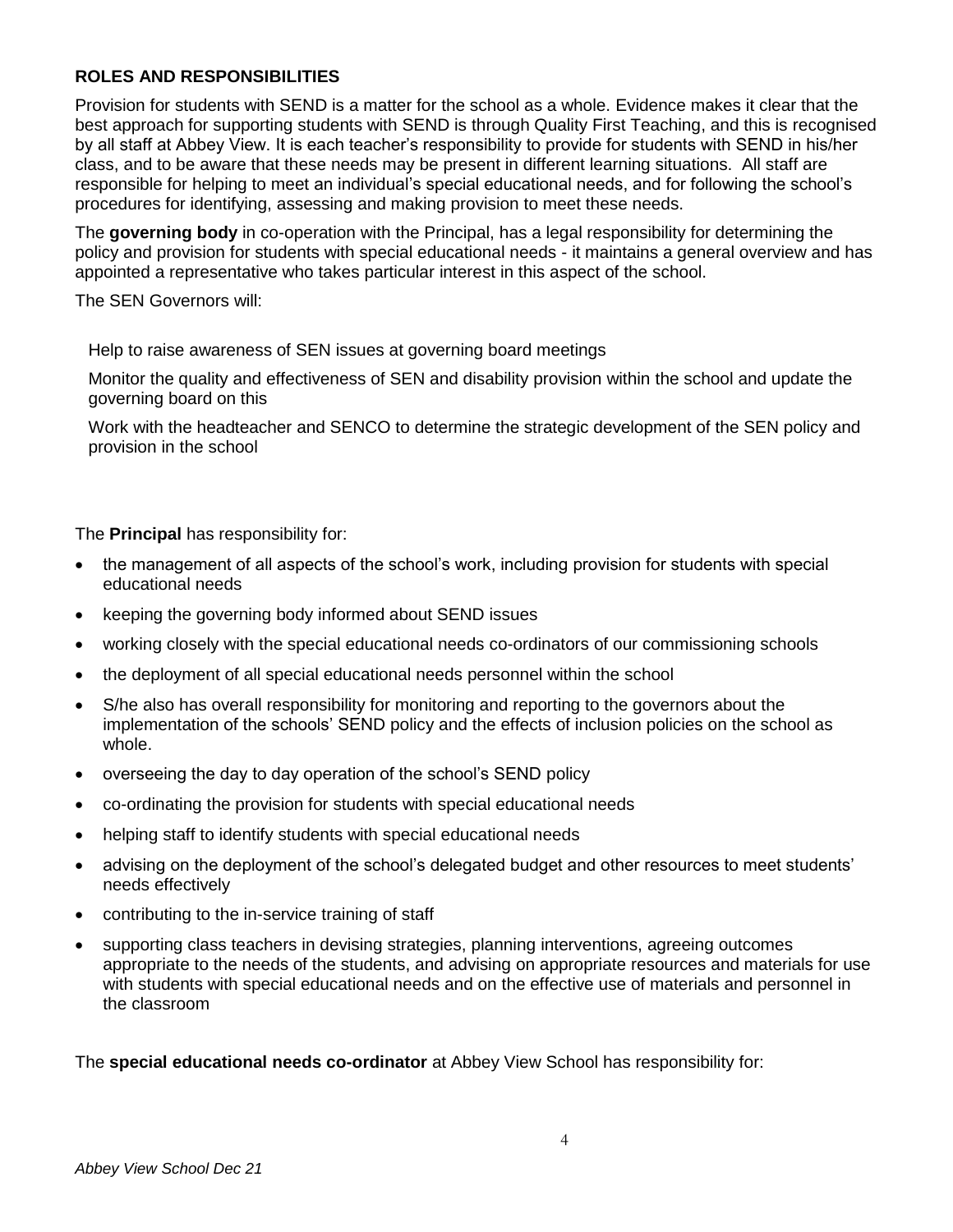# **ROLES AND RESPONSIBILITIES**

Provision for students with SEND is a matter for the school as a whole. Evidence makes it clear that the best approach for supporting students with SEND is through Quality First Teaching, and this is recognised by all staff at Abbey View. It is each teacher's responsibility to provide for students with SEND in his/her class, and to be aware that these needs may be present in different learning situations. All staff are responsible for helping to meet an individual's special educational needs, and for following the school's procedures for identifying, assessing and making provision to meet these needs.

The **governing body** in co-operation with the Principal, has a legal responsibility for determining the policy and provision for students with special educational needs - it maintains a general overview and has appointed a representative who takes particular interest in this aspect of the school.

The SEN Governors will:

Help to raise awareness of SEN issues at governing board meetings

Monitor the quality and effectiveness of SEN and disability provision within the school and update the governing board on this

Work with the headteacher and SENCO to determine the strategic development of the SEN policy and provision in the school

The **Principal** has responsibility for:

- the management of all aspects of the school's work, including provision for students with special educational needs
- keeping the governing body informed about SEND issues
- working closely with the special educational needs co-ordinators of our commissioning schools
- the deployment of all special educational needs personnel within the school
- S/he also has overall responsibility for monitoring and reporting to the governors about the implementation of the schools' SEND policy and the effects of inclusion policies on the school as whole.
- overseeing the day to day operation of the school's SEND policy
- co-ordinating the provision for students with special educational needs
- helping staff to identify students with special educational needs
- advising on the deployment of the school's delegated budget and other resources to meet students' needs effectively
- contributing to the in-service training of staff
- supporting class teachers in devising strategies, planning interventions, agreeing outcomes appropriate to the needs of the students, and advising on appropriate resources and materials for use with students with special educational needs and on the effective use of materials and personnel in the classroom

The **special educational needs co-ordinator** at Abbey View School has responsibility for: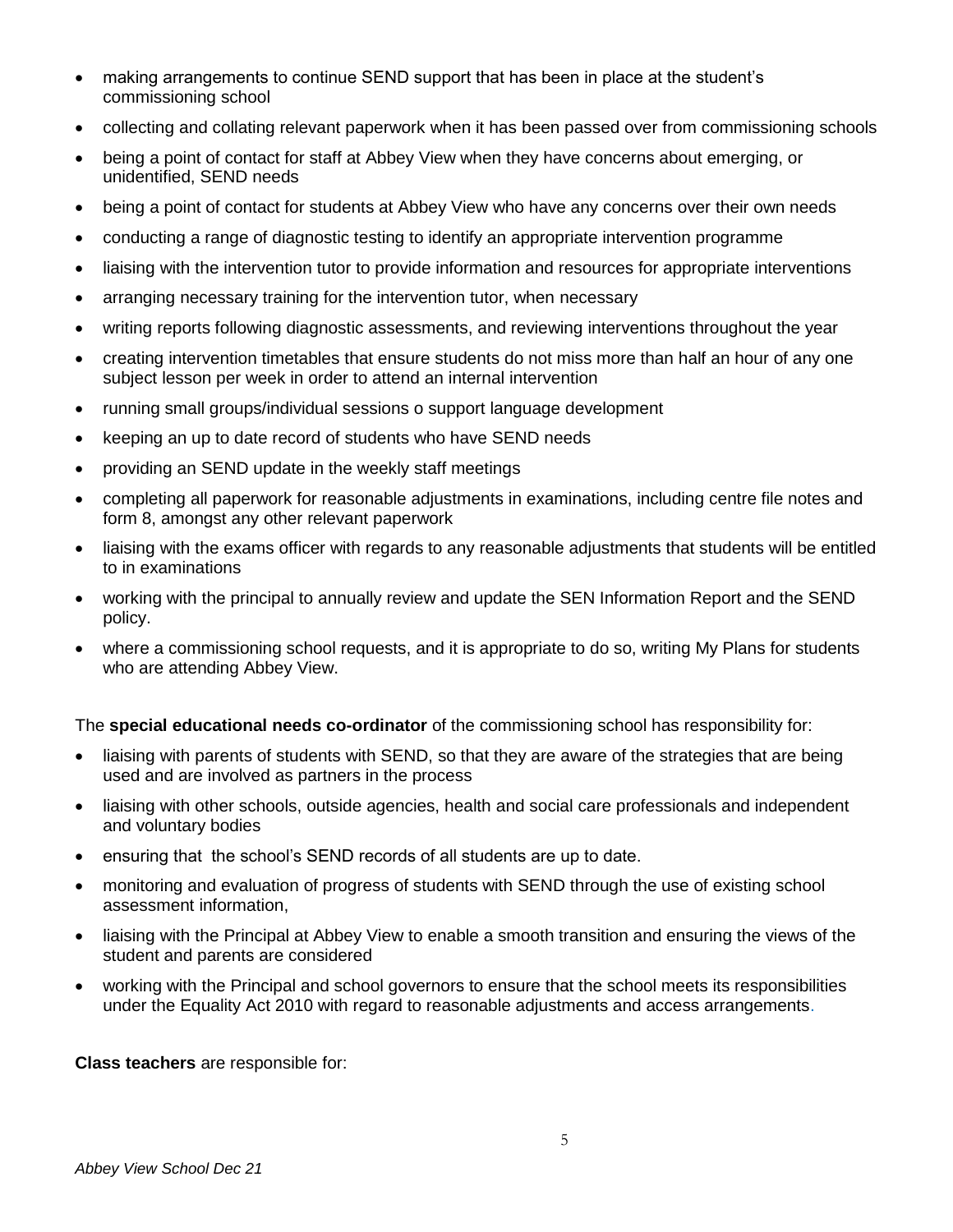- making arrangements to continue SEND support that has been in place at the student's commissioning school
- collecting and collating relevant paperwork when it has been passed over from commissioning schools
- being a point of contact for staff at Abbey View when they have concerns about emerging, or unidentified, SEND needs
- being a point of contact for students at Abbey View who have any concerns over their own needs
- conducting a range of diagnostic testing to identify an appropriate intervention programme
- liaising with the intervention tutor to provide information and resources for appropriate interventions
- arranging necessary training for the intervention tutor, when necessary
- writing reports following diagnostic assessments, and reviewing interventions throughout the year
- creating intervention timetables that ensure students do not miss more than half an hour of any one subject lesson per week in order to attend an internal intervention
- running small groups/individual sessions o support language development
- keeping an up to date record of students who have SEND needs
- providing an SEND update in the weekly staff meetings
- completing all paperwork for reasonable adjustments in examinations, including centre file notes and form 8, amongst any other relevant paperwork
- liaising with the exams officer with regards to any reasonable adjustments that students will be entitled to in examinations
- working with the principal to annually review and update the SEN Information Report and the SEND policy.
- where a commissioning school requests, and it is appropriate to do so, writing My Plans for students who are attending Abbey View.

The **special educational needs co-ordinator** of the commissioning school has responsibility for:

- liaising with parents of students with SEND, so that they are aware of the strategies that are being used and are involved as partners in the process
- liaising with other schools, outside agencies, health and social care professionals and independent and voluntary bodies
- ensuring that the school's SEND records of all students are up to date.
- monitoring and evaluation of progress of students with SEND through the use of existing school assessment information,
- liaising with the Principal at Abbey View to enable a smooth transition and ensuring the views of the student and parents are considered
- working with the Principal and school governors to ensure that the school meets its responsibilities under the Equality Act 2010 with regard to reasonable adjustments and access arrangements.

**Class teachers** are responsible for: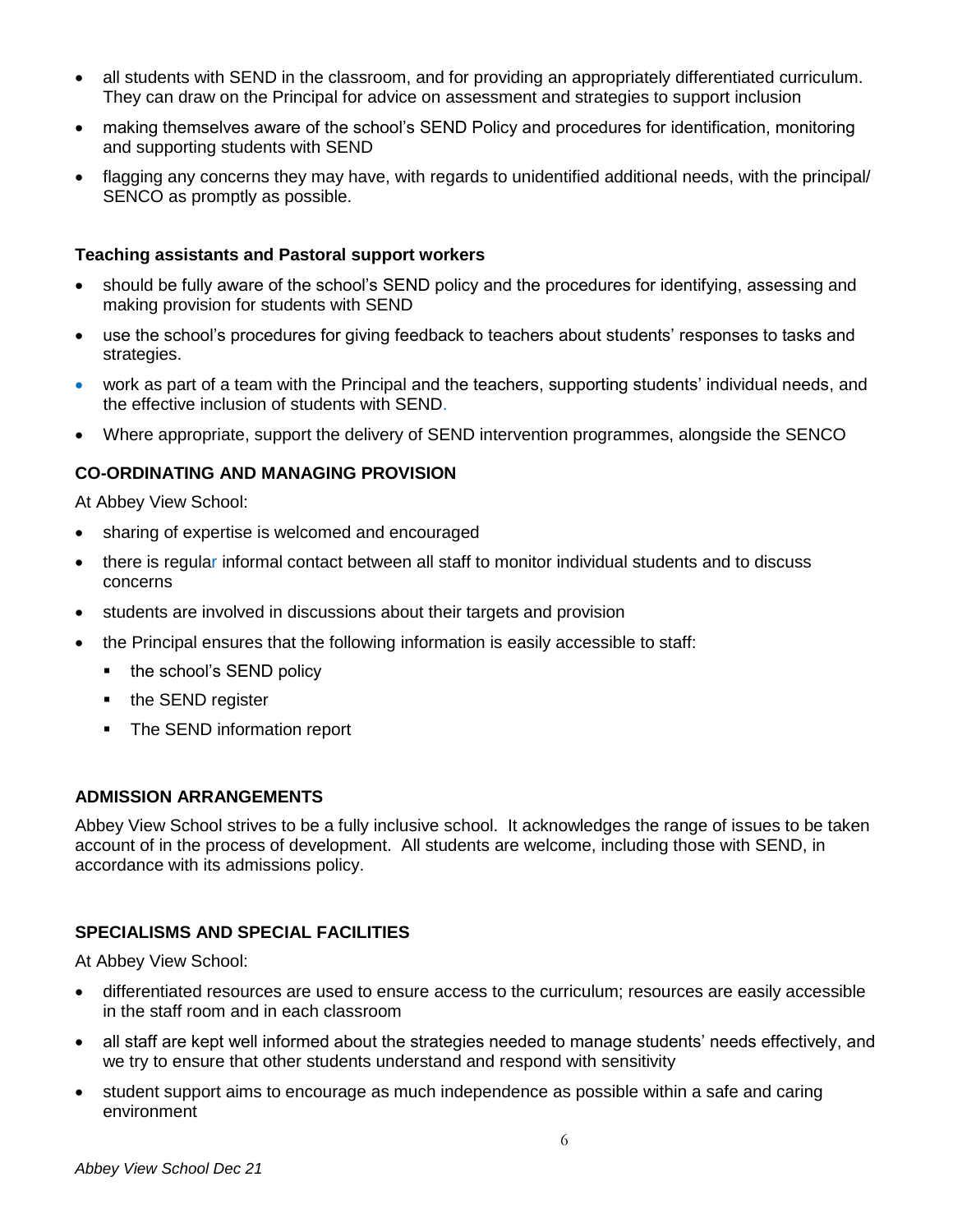- all students with SEND in the classroom, and for providing an appropriately differentiated curriculum. They can draw on the Principal for advice on assessment and strategies to support inclusion
- making themselves aware of the school's SEND Policy and procedures for identification, monitoring and supporting students with SEND
- flagging any concerns they may have, with regards to unidentified additional needs, with the principal/ SENCO as promptly as possible.

#### **Teaching assistants and Pastoral support workers**

- should be fully aware of the school's SEND policy and the procedures for identifying, assessing and making provision for students with SEND
- use the school's procedures for giving feedback to teachers about students' responses to tasks and strategies.
- work as part of a team with the Principal and the teachers, supporting students' individual needs, and the effective inclusion of students with SEND.
- Where appropriate, support the delivery of SEND intervention programmes, alongside the SENCO

#### **CO-ORDINATING AND MANAGING PROVISION**

At Abbey View School:

- sharing of expertise is welcomed and encouraged
- there is regular informal contact between all staff to monitor individual students and to discuss concerns
- students are involved in discussions about their targets and provision
- the Principal ensures that the following information is easily accessible to staff:
	- the school's SEND policy
	- the SEND register
	- **•** The SEND information report

#### **ADMISSION ARRANGEMENTS**

Abbey View School strives to be a fully inclusive school. It acknowledges the range of issues to be taken account of in the process of development. All students are welcome, including those with SEND, in accordance with its admissions policy.

#### **SPECIALISMS AND SPECIAL FACILITIES**

At Abbey View School:

- differentiated resources are used to ensure access to the curriculum; resources are easily accessible in the staff room and in each classroom
- all staff are kept well informed about the strategies needed to manage students' needs effectively, and we try to ensure that other students understand and respond with sensitivity
- student support aims to encourage as much independence as possible within a safe and caring environment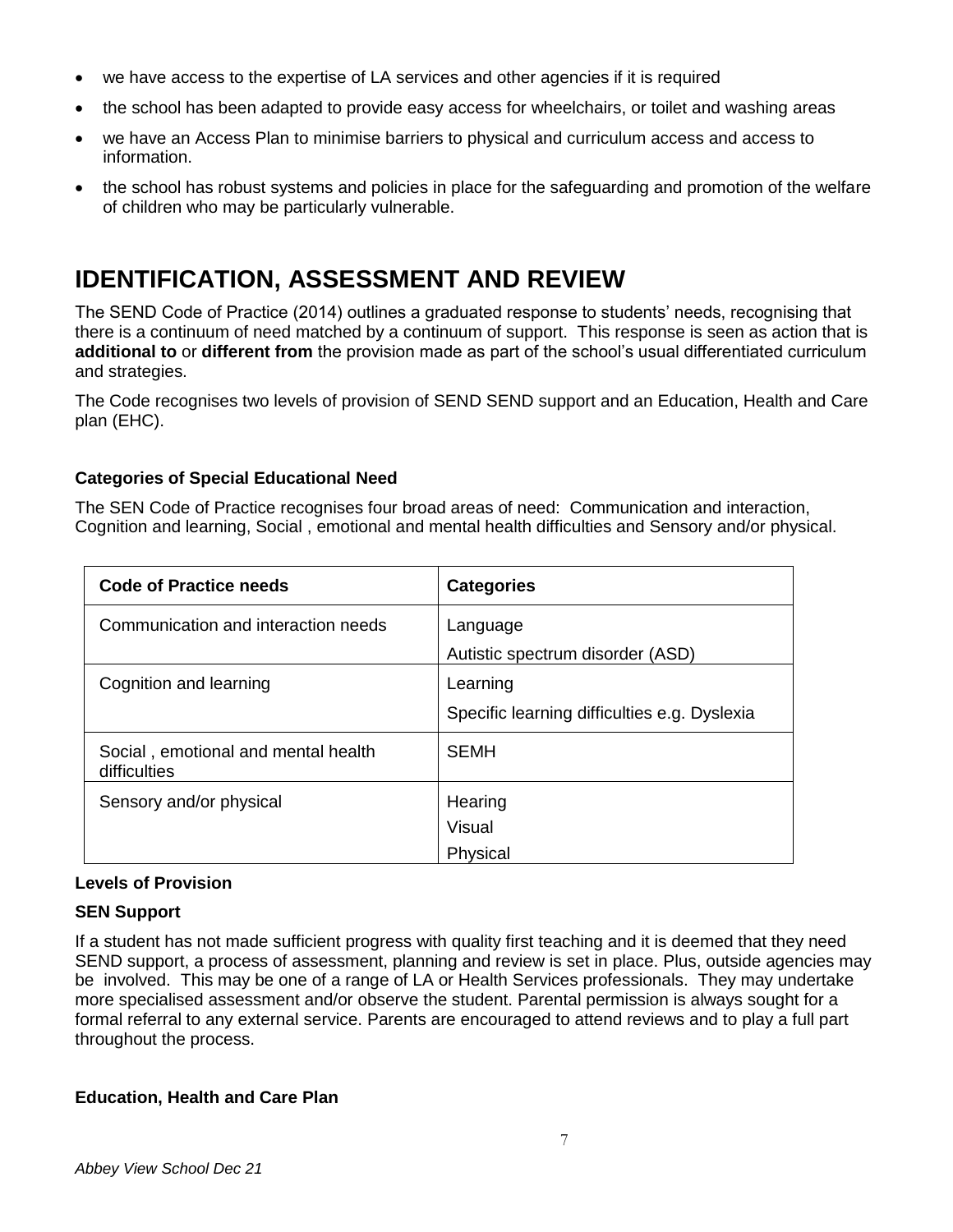- we have access to the expertise of LA services and other agencies if it is required
- the school has been adapted to provide easy access for wheelchairs, or toilet and washing areas
- we have an Access Plan to minimise barriers to physical and curriculum access and access to information.
- the school has robust systems and policies in place for the safeguarding and promotion of the welfare of children who may be particularly vulnerable.

# **IDENTIFICATION, ASSESSMENT AND REVIEW**

The SEND Code of Practice (2014) outlines a graduated response to students' needs, recognising that there is a continuum of need matched by a continuum of support. This response is seen as action that is **additional to** or **different from** the provision made as part of the school's usual differentiated curriculum and strategies.

The Code recognises two levels of provision of SEND SEND support and an Education, Health and Care plan (EHC).

# **Categories of Special Educational Need**

The SEN Code of Practice recognises four broad areas of need: Communication and interaction, Cognition and learning, Social , emotional and mental health difficulties and Sensory and/or physical.

| <b>Code of Practice needs</b>                       | <b>Categories</b>                            |
|-----------------------------------------------------|----------------------------------------------|
| Communication and interaction needs                 | Language                                     |
|                                                     | Autistic spectrum disorder (ASD)             |
| Cognition and learning                              | Learning                                     |
|                                                     | Specific learning difficulties e.g. Dyslexia |
| Social, emotional and mental health<br>difficulties | <b>SEMH</b>                                  |
| Sensory and/or physical                             | Hearing                                      |
|                                                     | Visual                                       |
|                                                     | Physical                                     |

## **Levels of Provision**

## **SEN Support**

If a student has not made sufficient progress with quality first teaching and it is deemed that they need SEND support, a process of assessment, planning and review is set in place. Plus, outside agencies may be involved. This may be one of a range of LA or Health Services professionals. They may undertake more specialised assessment and/or observe the student. Parental permission is always sought for a formal referral to any external service. Parents are encouraged to attend reviews and to play a full part throughout the process.

## **Education, Health and Care Plan**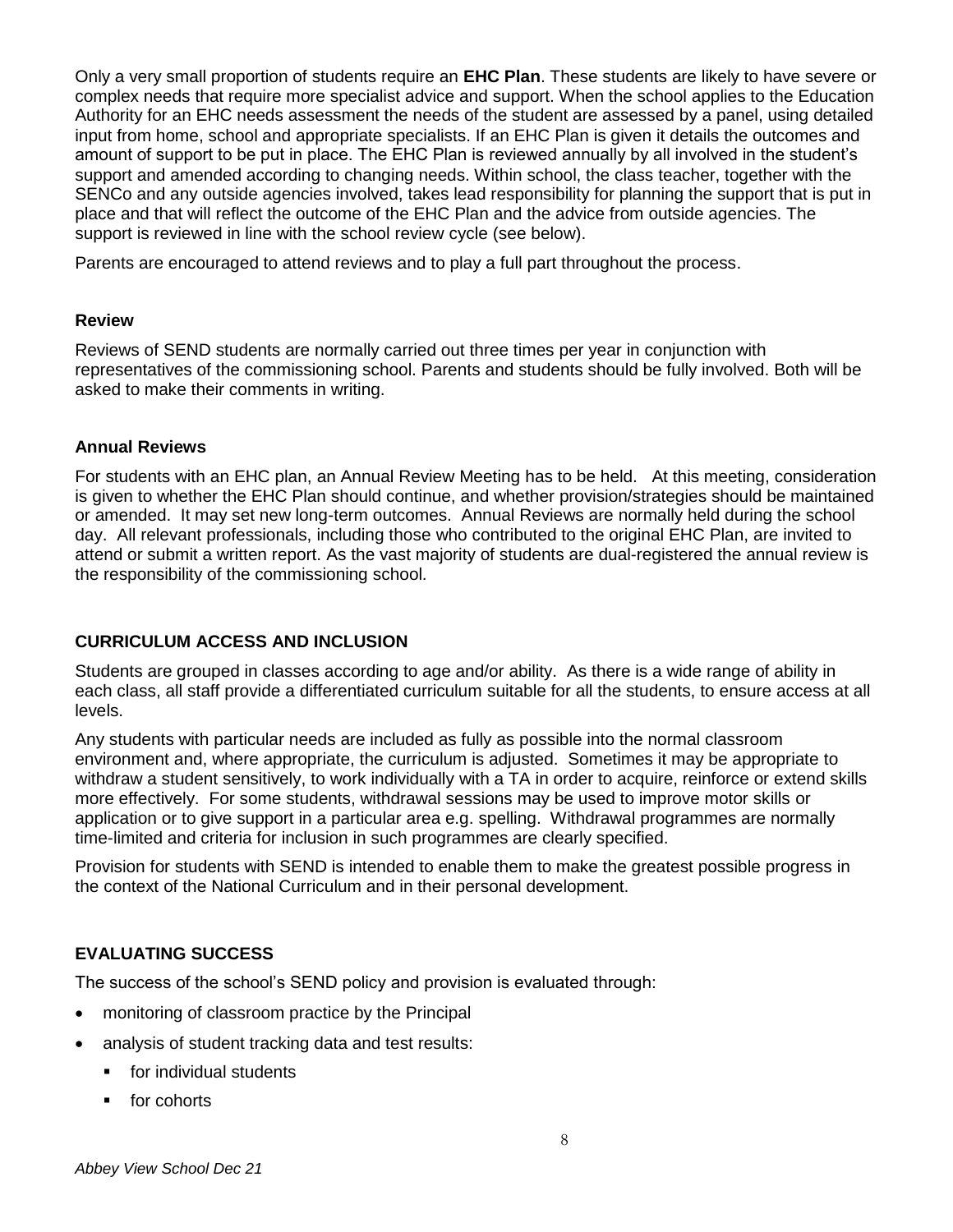Only a very small proportion of students require an **EHC Plan**. These students are likely to have severe or complex needs that require more specialist advice and support. When the school applies to the Education Authority for an EHC needs assessment the needs of the student are assessed by a panel, using detailed input from home, school and appropriate specialists. If an EHC Plan is given it details the outcomes and amount of support to be put in place. The EHC Plan is reviewed annually by all involved in the student's support and amended according to changing needs. Within school, the class teacher, together with the SENCo and any outside agencies involved, takes lead responsibility for planning the support that is put in place and that will reflect the outcome of the EHC Plan and the advice from outside agencies. The support is reviewed in line with the school review cycle (see below).

Parents are encouraged to attend reviews and to play a full part throughout the process.

#### **Review**

Reviews of SEND students are normally carried out three times per year in conjunction with representatives of the commissioning school. Parents and students should be fully involved. Both will be asked to make their comments in writing.

#### **Annual Reviews**

For students with an EHC plan, an Annual Review Meeting has to be held. At this meeting, consideration is given to whether the EHC Plan should continue, and whether provision/strategies should be maintained or amended. It may set new long-term outcomes. Annual Reviews are normally held during the school day. All relevant professionals, including those who contributed to the original EHC Plan, are invited to attend or submit a written report. As the vast majority of students are dual-registered the annual review is the responsibility of the commissioning school.

## **CURRICULUM ACCESS AND INCLUSION**

Students are grouped in classes according to age and/or ability. As there is a wide range of ability in each class, all staff provide a differentiated curriculum suitable for all the students, to ensure access at all levels.

Any students with particular needs are included as fully as possible into the normal classroom environment and, where appropriate, the curriculum is adjusted. Sometimes it may be appropriate to withdraw a student sensitively, to work individually with a TA in order to acquire, reinforce or extend skills more effectively. For some students, withdrawal sessions may be used to improve motor skills or application or to give support in a particular area e.g. spelling. Withdrawal programmes are normally time-limited and criteria for inclusion in such programmes are clearly specified.

Provision for students with SEND is intended to enable them to make the greatest possible progress in the context of the National Curriculum and in their personal development.

## **EVALUATING SUCCESS**

The success of the school's SEND policy and provision is evaluated through:

- monitoring of classroom practice by the Principal
- analysis of student tracking data and test results:
	- for individual students
	- for cohorts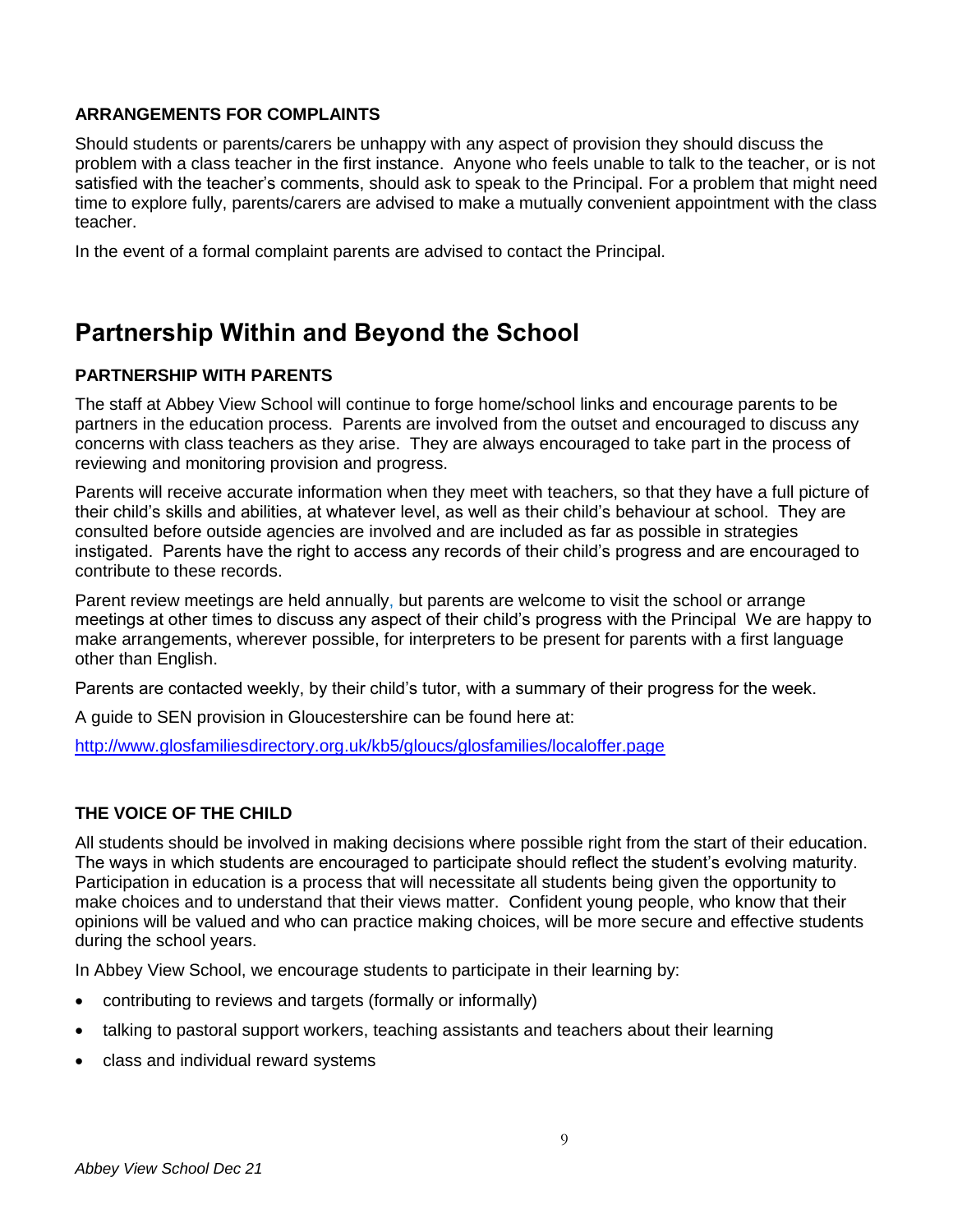## **ARRANGEMENTS FOR COMPLAINTS**

Should students or parents/carers be unhappy with any aspect of provision they should discuss the problem with a class teacher in the first instance. Anyone who feels unable to talk to the teacher, or is not satisfied with the teacher's comments, should ask to speak to the Principal. For a problem that might need time to explore fully, parents/carers are advised to make a mutually convenient appointment with the class teacher.

In the event of a formal complaint parents are advised to contact the Principal.

# **Partnership Within and Beyond the School**

# **PARTNERSHIP WITH PARENTS**

The staff at Abbey View School will continue to forge home/school links and encourage parents to be partners in the education process. Parents are involved from the outset and encouraged to discuss any concerns with class teachers as they arise. They are always encouraged to take part in the process of reviewing and monitoring provision and progress.

Parents will receive accurate information when they meet with teachers, so that they have a full picture of their child's skills and abilities, at whatever level, as well as their child's behaviour at school. They are consulted before outside agencies are involved and are included as far as possible in strategies instigated. Parents have the right to access any records of their child's progress and are encouraged to contribute to these records.

Parent review meetings are held annually, but parents are welcome to visit the school or arrange meetings at other times to discuss any aspect of their child's progress with the Principal We are happy to make arrangements, wherever possible, for interpreters to be present for parents with a first language other than English.

Parents are contacted weekly, by their child's tutor, with a summary of their progress for the week.

A guide to SEN provision in Gloucestershire can be found here at:

<http://www.glosfamiliesdirectory.org.uk/kb5/gloucs/glosfamilies/localoffer.page>

## **THE VOICE OF THE CHILD**

All students should be involved in making decisions where possible right from the start of their education. The ways in which students are encouraged to participate should reflect the student's evolving maturity. Participation in education is a process that will necessitate all students being given the opportunity to make choices and to understand that their views matter. Confident young people, who know that their opinions will be valued and who can practice making choices, will be more secure and effective students during the school years.

In Abbey View School, we encourage students to participate in their learning by:

- contributing to reviews and targets (formally or informally)
- talking to pastoral support workers, teaching assistants and teachers about their learning
- class and individual reward systems